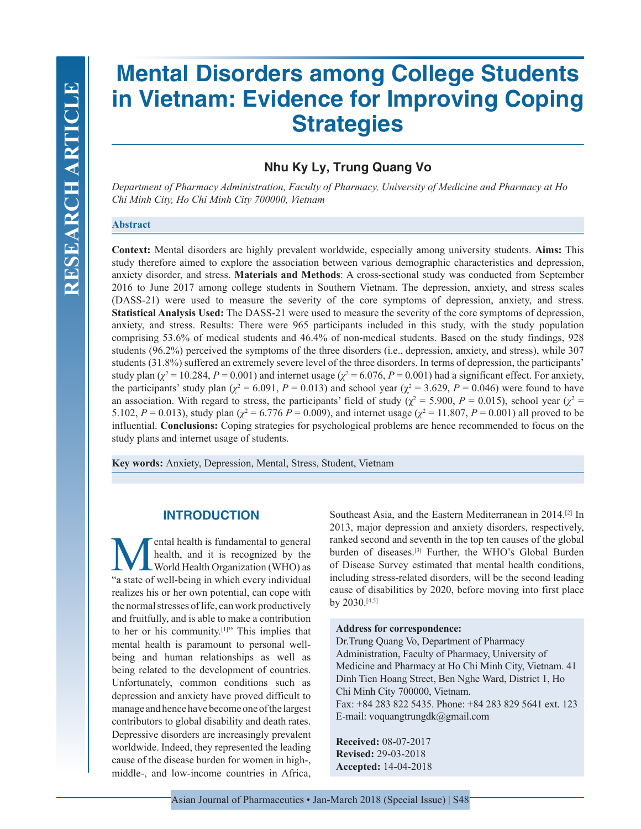# **Mental Disorders among College Students in Vietnam: Evidence for Improving Coping Strategies**

# **Nhu Ky Ly, Trung Quang Vo**

*Department of Pharmacy Administration, Faculty of Pharmacy, University of Medicine and Pharmacy at Ho Chi Minh City, Ho Chi Minh City 700000, Vietnam*

## **Abstract**

**Context:** Mental disorders are highly prevalent worldwide, especially among university students. **Aims:** This study therefore aimed to explore the association between various demographic characteristics and depression, anxiety disorder, and stress. **Materials and Methods**: A cross-sectional study was conducted from September 2016 to June 2017 among college students in Southern Vietnam. The depression, anxiety, and stress scales (DASS-21) were used to measure the severity of the core symptoms of depression, anxiety, and stress. **Statistical Analysis Used:** The DASS-21 were used to measure the severity of the core symptoms of depression, anxiety, and stress. Results: There were 965 participants included in this study, with the study population comprising 53.6% of medical students and 46.4% of non-medical students. Based on the study findings, 928 students (96.2%) perceived the symptoms of the three disorders (i.e., depression, anxiety, and stress), while 307 students (31.8%) suffered an extremely severe level of the three disorders. In terms of depression, the participants' study plan  $(\chi^2 = 10.284, P = 0.001)$  and internet usage  $(\chi^2 = 6.076, P = 0.001)$  had a significant effect. For anxiety, the participants' study plan ( $\chi^2$  = 6.091, *P* = 0.013) and school year ( $\chi^2$  = 3.629, *P* = 0.046) were found to have an association. With regard to stress, the participants' field of study ( $\chi^2$  = 5.900, *P* = 0.015), school year ( $\chi^2$  = 5.102,  $P = 0.013$ ), study plan ( $\chi^2 = 6.776 P = 0.009$ ), and internet usage ( $\chi^2 = 11.807$ ,  $P = 0.001$ ) all proved to be influential. **Conclusions:** Coping strategies for psychological problems are hence recommended to focus on the study plans and internet usage of students.

**Key words:** Anxiety, Depression, Mental, Stress, Student, Vietnam

## **INTRODUCTION**

**Mental health is fundamental to general**<br>health, and it is recognized by the<br>world Health Organization (WHO) as<br>"a state of well-being in which every individual health, and it is recognized by the World Health Organization (WHO) as "a state of well-being in which every individual realizes his or her own potential, can cope with the normal stresses of life, can work productively and fruitfully, and is able to make a contribution to her or his community.<sup>[1]</sup>" This implies that mental health is paramount to personal wellbeing and human relationships as well as being related to the development of countries. Unfortunately, common conditions such as depression and anxiety have proved difficult to manage and hence have become one of the largest contributors to global disability and death rates. Depressive disorders are increasingly prevalent worldwide. Indeed, they represented the leading cause of the disease burden for women in high-, middle-, and low-income countries in Africa,

Southeast Asia, and the Eastern Mediterranean in 2014.[2] In 2013, major depression and anxiety disorders, respectively, ranked second and seventh in the top ten causes of the global burden of diseases.[3] Further, the WHO's Global Burden of Disease Survey estimated that mental health conditions, including stress-related disorders, will be the second leading cause of disabilities by 2020, before moving into first place by 2030.[4,5]

#### **Address for correspondence:**

Dr.Trung Quang Vo, Department of Pharmacy Administration, Faculty of Pharmacy, University of Medicine and Pharmacy at Ho Chi Minh City, Vietnam. 41 Dinh Tien Hoang Street, Ben Nghe Ward, District 1, Ho Chi Minh City 700000, Vietnam. Fax: +84 283 822 5435. Phone: +84 283 829 5641 ext. 123 E-mail: voquangtrungdk@gmail.com

**Received:** 08-07-2017 **Revised:** 29-03-2018 **Accepted:** 14-04-2018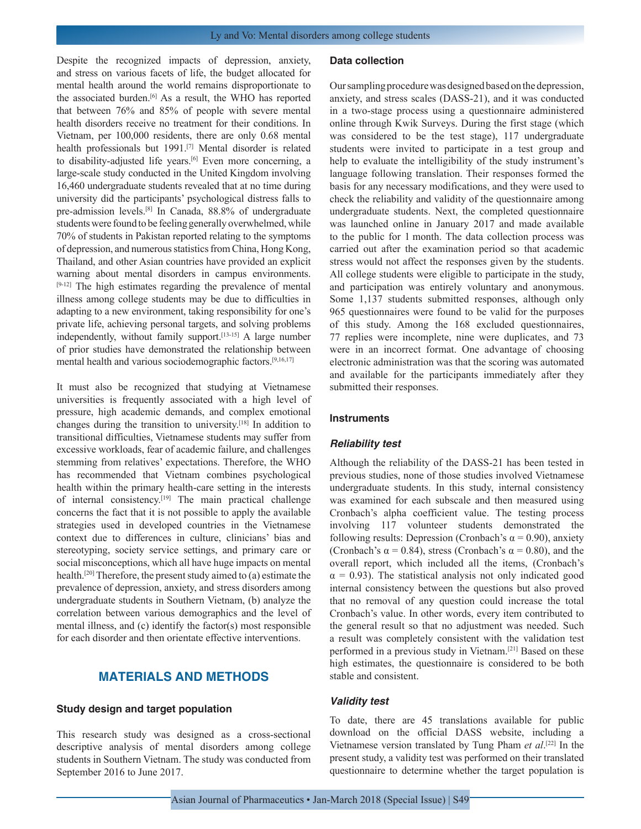Despite the recognized impacts of depression, anxiety, and stress on various facets of life, the budget allocated for mental health around the world remains disproportionate to the associated burden.<sup>[6]</sup> As a result, the WHO has reported that between 76% and 85% of people with severe mental health disorders receive no treatment for their conditions. In Vietnam, per 100,000 residents, there are only 0.68 mental health professionals but 1991.<sup>[7]</sup> Mental disorder is related to disability-adjusted life years.<sup>[6]</sup> Even more concerning, a large-scale study conducted in the United Kingdom involving 16,460 undergraduate students revealed that at no time during university did the participants' psychological distress falls to pre-admission levels.[8] In Canada, 88.8% of undergraduate students were found to be feeling generally overwhelmed, while 70% of students in Pakistan reported relating to the symptoms of depression, and numerous statistics from China, Hong Kong, Thailand, and other Asian countries have provided an explicit warning about mental disorders in campus environments. [9-12] The high estimates regarding the prevalence of mental illness among college students may be due to difficulties in adapting to a new environment, taking responsibility for one's private life, achieving personal targets, and solving problems independently, without family support.[13-15] A large number of prior studies have demonstrated the relationship between mental health and various sociodemographic factors.[9,16,17]

It must also be recognized that studying at Vietnamese universities is frequently associated with a high level of pressure, high academic demands, and complex emotional changes during the transition to university.[18] In addition to transitional difficulties, Vietnamese students may suffer from excessive workloads, fear of academic failure, and challenges stemming from relatives' expectations. Therefore, the WHO has recommended that Vietnam combines psychological health within the primary health-care setting in the interests of internal consistency.[19] The main practical challenge concerns the fact that it is not possible to apply the available strategies used in developed countries in the Vietnamese context due to differences in culture, clinicians' bias and stereotyping, society service settings, and primary care or social misconceptions, which all have huge impacts on mental health.[20] Therefore, the present study aimed to (a) estimate the prevalence of depression, anxiety, and stress disorders among undergraduate students in Southern Vietnam, (b) analyze the correlation between various demographics and the level of mental illness, and (c) identify the factor(s) most responsible for each disorder and then orientate effective interventions.

## **MATERIALS AND METHODS**

#### **Study design and target population**

This research study was designed as a cross-sectional descriptive analysis of mental disorders among college students in Southern Vietnam. The study was conducted from September 2016 to June 2017.

#### **Data collection**

Our sampling procedure was designed based on the depression, anxiety, and stress scales (DASS-21), and it was conducted in a two-stage process using a questionnaire administered online through Kwik Surveys. During the first stage (which was considered to be the test stage), 117 undergraduate students were invited to participate in a test group and help to evaluate the intelligibility of the study instrument's language following translation. Their responses formed the basis for any necessary modifications, and they were used to check the reliability and validity of the questionnaire among undergraduate students. Next, the completed questionnaire was launched online in January 2017 and made available to the public for 1 month. The data collection process was carried out after the examination period so that academic stress would not affect the responses given by the students. All college students were eligible to participate in the study, and participation was entirely voluntary and anonymous. Some 1,137 students submitted responses, although only 965 questionnaires were found to be valid for the purposes of this study. Among the 168 excluded questionnaires, 77 replies were incomplete, nine were duplicates, and 73 were in an incorrect format. One advantage of choosing electronic administration was that the scoring was automated and available for the participants immediately after they submitted their responses.

#### **Instruments**

#### *Reliability test*

Although the reliability of the DASS-21 has been tested in previous studies, none of those studies involved Vietnamese undergraduate students. In this study, internal consistency was examined for each subscale and then measured using Cronbach's alpha coefficient value. The testing process involving 117 volunteer students demonstrated the following results: Depression (Cronbach's  $\alpha$  = 0.90), anxiety (Cronbach's  $\alpha$  = 0.84), stress (Cronbach's  $\alpha$  = 0.80), and the overall report, which included all the items, (Cronbach's  $\alpha$  = 0.93). The statistical analysis not only indicated good internal consistency between the questions but also proved that no removal of any question could increase the total Cronbach's value. In other words, every item contributed to the general result so that no adjustment was needed. Such a result was completely consistent with the validation test performed in a previous study in Vietnam.[21] Based on these high estimates, the questionnaire is considered to be both stable and consistent.

#### *Validity test*

To date, there are 45 translations available for public download on the official DASS website, including a Vietnamese version translated by Tung Pham *et al*. [22] In the present study, a validity test was performed on their translated questionnaire to determine whether the target population is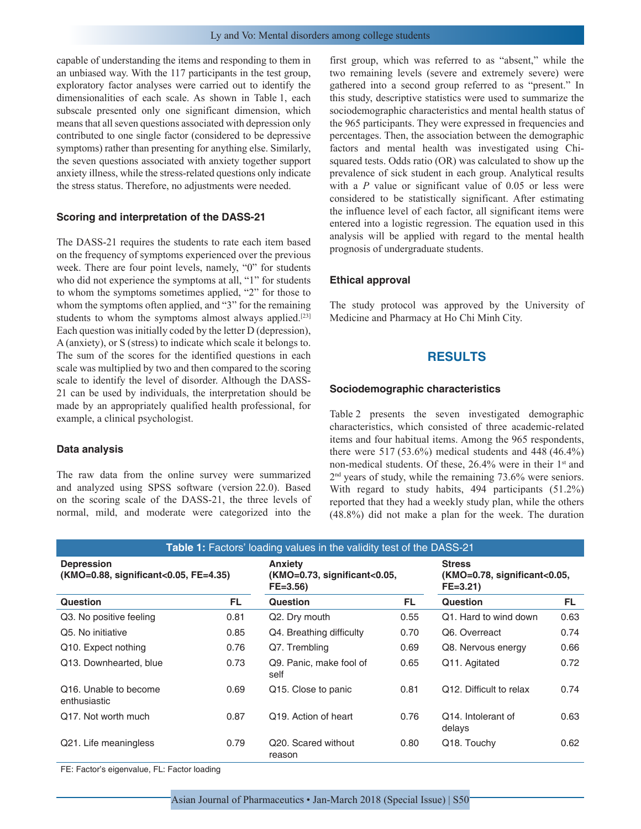capable of understanding the items and responding to them in an unbiased way. With the 117 participants in the test group, exploratory factor analyses were carried out to identify the dimensionalities of each scale. As shown in Table 1, each subscale presented only one significant dimension, which means that all seven questions associated with depression only contributed to one single factor (considered to be depressive symptoms) rather than presenting for anything else. Similarly, the seven questions associated with anxiety together support anxiety illness, while the stress-related questions only indicate the stress status. Therefore, no adjustments were needed.

#### **Scoring and interpretation of the DASS-21**

The DASS-21 requires the students to rate each item based on the frequency of symptoms experienced over the previous week. There are four point levels, namely, "0" for students who did not experience the symptoms at all, "1" for students to whom the symptoms sometimes applied, "2" for those to whom the symptoms often applied, and "3" for the remaining students to whom the symptoms almost always applied.<sup>[23]</sup> Each question was initially coded by the letter D (depression), A (anxiety), or S (stress) to indicate which scale it belongs to. The sum of the scores for the identified questions in each scale was multiplied by two and then compared to the scoring scale to identify the level of disorder. Although the DASS-21 can be used by individuals, the interpretation should be made by an appropriately qualified health professional, for example, a clinical psychologist.

#### **Data analysis**

The raw data from the online survey were summarized and analyzed using SPSS software (version 22.0). Based on the scoring scale of the DASS-21, the three levels of normal, mild, and moderate were categorized into the

first group, which was referred to as "absent," while the two remaining levels (severe and extremely severe) were gathered into a second group referred to as "present." In this study, descriptive statistics were used to summarize the sociodemographic characteristics and mental health status of the 965 participants. They were expressed in frequencies and percentages. Then, the association between the demographic factors and mental health was investigated using Chisquared tests. Odds ratio (OR) was calculated to show up the prevalence of sick student in each group. Analytical results with a *P* value or significant value of 0.05 or less were considered to be statistically significant. After estimating the influence level of each factor, all significant items were entered into a logistic regression. The equation used in this analysis will be applied with regard to the mental health prognosis of undergraduate students.

#### **Ethical approval**

The study protocol was approved by the University of Medicine and Pharmacy at Ho Chi Minh City.

## **RESULTS**

#### **Sociodemographic characteristics**

Table 2 presents the seven investigated demographic characteristics, which consisted of three academic-related items and four habitual items. Among the 965 respondents, there were 517 (53.6%) medical students and 448 (46.4%) non-medical students. Of these, 26.4% were in their 1<sup>st</sup> and 2nd years of study, while the remaining 73.6% were seniors. With regard to study habits, 494 participants (51.2%) reported that they had a weekly study plan, while the others (48.8%) did not make a plan for the week. The duration

| Table 1: Factors' loading values in the validity test of the DASS-21 |      |                                                                 |                                                              |                                      |      |  |  |
|----------------------------------------------------------------------|------|-----------------------------------------------------------------|--------------------------------------------------------------|--------------------------------------|------|--|--|
| <b>Depression</b><br>$(KMO=0.88,$ significant<0.05, FE=4.35)         |      | <b>Anxiety</b><br>$(KMO=0.73,$ significant<0.05,<br>$FE = 3.56$ | <b>Stress</b><br>(KMO=0.78, significant<0.05,<br>$FE = 3.21$ |                                      |      |  |  |
| Question                                                             | FL.  | Question                                                        | FL.                                                          | <b>Question</b>                      | FL.  |  |  |
| Q3. No positive feeling                                              | 0.81 | Q2. Dry mouth                                                   | 0.55                                                         | Q1. Hard to wind down                | 0.63 |  |  |
| Q5. No initiative                                                    | 0.85 | Q4. Breathing difficulty                                        | 0.70                                                         | Q6. Overreact                        | 0.74 |  |  |
| Q10. Expect nothing                                                  | 0.76 | Q7. Trembling                                                   | 0.69                                                         | Q8. Nervous energy                   | 0.66 |  |  |
| Q13. Downhearted, blue                                               | 0.73 | Q9. Panic. make fool of<br>self                                 | 0.65                                                         | Q11. Agitated                        | 0.72 |  |  |
| Q <sub>16</sub> . Unable to become<br>enthusiastic                   | 0.69 | Q15. Close to panic                                             | 0.81                                                         | Q <sub>12</sub> . Difficult to relax | 0.74 |  |  |
| Q <sub>17</sub> . Not worth much                                     | 0.87 | Q <sub>19</sub> . Action of heart                               | 0.76                                                         | Q14. Intolerant of<br>delays         | 0.63 |  |  |
| Q21. Life meaningless                                                | 0.79 | Q20. Scared without<br>reason                                   | 0.80                                                         | Q18. Touchy                          | 0.62 |  |  |

FE: Factor's eigenvalue, FL: Factor loading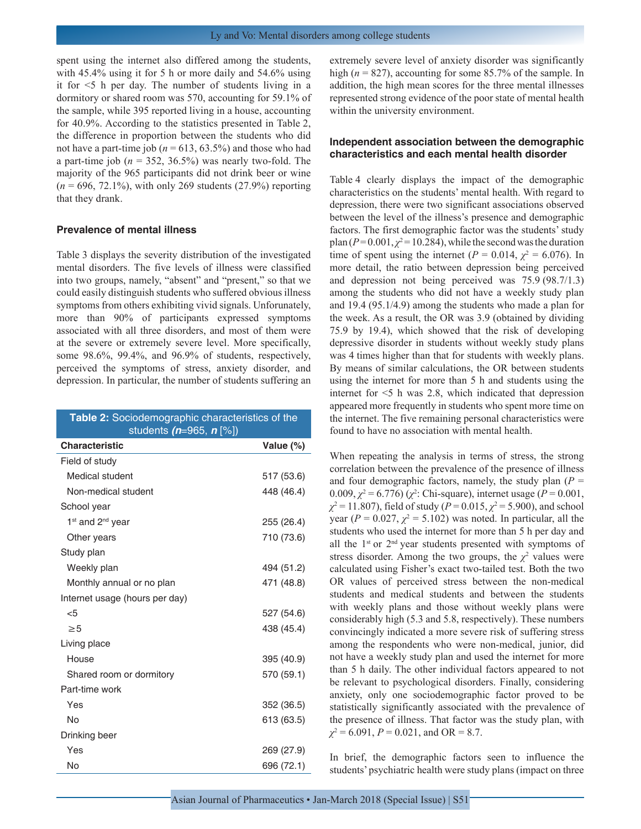spent using the internet also differed among the students, with 45.4% using it for 5 h or more daily and 54.6% using it for <5 h per day. The number of students living in a dormitory or shared room was 570, accounting for 59.1% of the sample, while 395 reported living in a house, accounting for 40.9%. According to the statistics presented in Table 2, the difference in proportion between the students who did not have a part-time job ( $n = 613, 63.5\%$ ) and those who had a part-time job  $(n = 352, 36.5\%)$  was nearly two-fold. The majority of the 965 participants did not drink beer or wine (*n* = 696, 72.1%), with only 269 students (27.9%) reporting that they drank.

#### **Prevalence of mental illness**

Table 3 displays the severity distribution of the investigated mental disorders. The five levels of illness were classified into two groups, namely, "absent" and "present," so that we could easily distinguish students who suffered obvious illness symptoms from others exhibiting vivid signals. Unforunately, more than 90% of participants expressed symptoms associated with all three disorders, and most of them were at the severe or extremely severe level. More specifically, some 98.6%, 99.4%, and 96.9% of students, respectively, perceived the symptoms of stress, anxiety disorder, and depression. In particular, the number of students suffering an

| Table 2: Sociodemographic characteristics of the<br>students ( $n=965$ , $n$ [%]) |            |  |  |  |
|-----------------------------------------------------------------------------------|------------|--|--|--|
| <b>Characteristic</b>                                                             | Value (%)  |  |  |  |
| Field of study                                                                    |            |  |  |  |
| Medical student                                                                   | 517 (53.6) |  |  |  |
| Non-medical student                                                               | 448 (46.4) |  |  |  |
| School year                                                                       |            |  |  |  |
| 1 <sup>st</sup> and 2 <sup>nd</sup> year                                          | 255 (26.4) |  |  |  |
| Other years                                                                       | 710 (73.6) |  |  |  |
| Study plan                                                                        |            |  |  |  |
| Weekly plan                                                                       | 494 (51.2) |  |  |  |
| Monthly annual or no plan                                                         | 471 (48.8) |  |  |  |
| Internet usage (hours per day)                                                    |            |  |  |  |
| $<$ 5                                                                             | 527 (54.6) |  |  |  |
| $\geq 5$                                                                          | 438 (45.4) |  |  |  |
| Living place                                                                      |            |  |  |  |
| House                                                                             | 395 (40.9) |  |  |  |
| Shared room or dormitory                                                          | 570 (59.1) |  |  |  |
| Part-time work                                                                    |            |  |  |  |
| Yes                                                                               | 352 (36.5) |  |  |  |
| <b>No</b>                                                                         | 613 (63.5) |  |  |  |
| Drinking beer                                                                     |            |  |  |  |
| Yes                                                                               | 269 (27.9) |  |  |  |
| No                                                                                | 696 (72.1) |  |  |  |

extremely severe level of anxiety disorder was significantly high (*n* = 827), accounting for some 85.7% of the sample. In addition, the high mean scores for the three mental illnesses represented strong evidence of the poor state of mental health within the university environment.

## **Independent association between the demographic characteristics and each mental health disorder**

Table 4 clearly displays the impact of the demographic characteristics on the students' mental health. With regard to depression, there were two significant associations observed between the level of the illness's presence and demographic factors. The first demographic factor was the students' study  $plan (P=0.001, \chi^2=10.284)$ , while the second was the duration time of spent using the internet ( $P = 0.014$ ,  $\chi^2 = 6.076$ ). In more detail, the ratio between depression being perceived and depression not being perceived was 75.9 (98.7/1.3) among the students who did not have a weekly study plan and 19.4 (95.1/4.9) among the students who made a plan for the week. As a result, the OR was 3.9 (obtained by dividing 75.9 by 19.4), which showed that the risk of developing depressive disorder in students without weekly study plans was 4 times higher than that for students with weekly plans. By means of similar calculations, the OR between students using the internet for more than 5 h and students using the internet for <5 h was 2.8, which indicated that depression appeared more frequently in students who spent more time on the internet. The five remaining personal characteristics were found to have no association with mental health.

When repeating the analysis in terms of stress, the strong correlation between the prevalence of the presence of illness and four demographic factors, namely, the study plan  $(P =$ 0.009,  $\chi^2$  = 6.776) ( $\chi^2$ : Chi-square), internet usage (*P* = 0.001,  $\chi^2$  = 11.807), field of study (*P* = 0.015,  $\chi^2$  = 5.900), and school year  $(P = 0.027, \chi^2 = 5.102)$  was noted. In particular, all the students who used the internet for more than 5 h per day and all the  $1<sup>st</sup>$  or  $2<sup>nd</sup>$  year students presented with symptoms of stress disorder. Among the two groups, the  $\chi^2$  values were calculated using Fisher's exact two-tailed test. Both the two OR values of perceived stress between the non-medical students and medical students and between the students with weekly plans and those without weekly plans were considerably high (5.3 and 5.8, respectively). These numbers convincingly indicated a more severe risk of suffering stress among the respondents who were non-medical, junior, did not have a weekly study plan and used the internet for more than 5 h daily. The other individual factors appeared to not be relevant to psychological disorders. Finally, considering anxiety, only one sociodemographic factor proved to be statistically significantly associated with the prevalence of the presence of illness. That factor was the study plan, with *χ*2 = 6.091, *P* = 0.021, and OR = 8.7.

In brief, the demographic factors seen to influence the students' psychiatric health were study plans (impact on three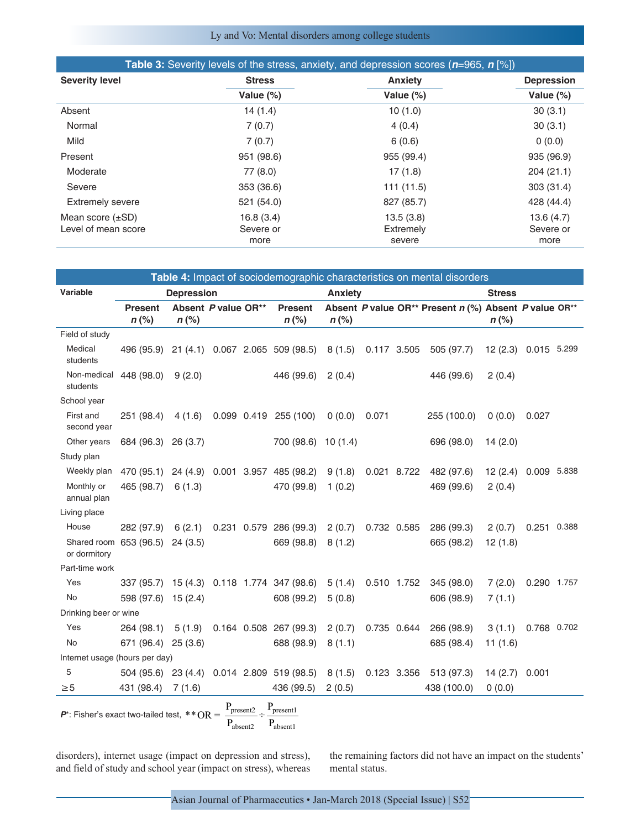## Ly and Vo: Mental disorders among college students

|                         |               | <b>Table 3:</b> Severity levels of the stress, anxiety, and depression scores $(n=965, n \le 1)$ |                   |
|-------------------------|---------------|--------------------------------------------------------------------------------------------------|-------------------|
| <b>Severity level</b>   | <b>Stress</b> | <b>Anxiety</b>                                                                                   | <b>Depression</b> |
|                         | Value $(\%)$  | Value $(\%)$                                                                                     | Value $(\%)$      |
| Absent                  | 14(1.4)       | 10(1.0)                                                                                          | 30(3.1)           |
| Normal                  | 7(0.7)        | 4(0.4)                                                                                           | 30(3.1)           |
| Mild                    | 7(0.7)        | 6(0.6)                                                                                           | 0(0.0)            |
| Present                 | 951 (98.6)    | 955 (99.4)                                                                                       | 935 (96.9)        |
| Moderate                | 77 (8.0)      | 17(1.8)                                                                                          | 204 (21.1)        |
| Severe                  | 353 (36.6)    | 111 (11.5)                                                                                       | 303 (31.4)        |
| <b>Extremely severe</b> | 521 (54.0)    | 827 (85.7)                                                                                       | 428 (44.4)        |
| Mean score $(\pm SD)$   | 16.8(3.4)     | 13.5(3.8)                                                                                        | 13.6(4.7)         |
| Level of mean score     | Severe or     | Extremely                                                                                        | Severe or         |
|                         | more          | severe                                                                                           | more              |

| Table 4: Impact of sociodemographic characteristics on mental disorders |                                            |                                |  |  |                                 |                |             |                                                       |                      |             |  |
|-------------------------------------------------------------------------|--------------------------------------------|--------------------------------|--|--|---------------------------------|----------------|-------------|-------------------------------------------------------|----------------------|-------------|--|
| Variable                                                                |                                            | <b>Depression</b>              |  |  |                                 | <b>Anxiety</b> |             |                                                       | <b>Stress</b>        |             |  |
|                                                                         | <b>Present</b><br>$n$ (%)                  | Absent P value OR**<br>$n$ (%) |  |  | <b>Present</b><br>$n$ (%)       | $n$ (%)        |             | Absent P value OR** Present n (%) Absent P value OR** | $n$ (%)              |             |  |
| Field of study                                                          |                                            |                                |  |  |                                 |                |             |                                                       |                      |             |  |
| Medical<br>students                                                     | 496 (95.9)                                 |                                |  |  | 21 (4.1) 0.067 2.065 509 (98.5) | 8(1.5)         | 0.117 3.505 | 505 (97.7)                                            | 12 (2.3) 0.015 5.299 |             |  |
| Non-medical<br>students                                                 | 448 (98.0)                                 | 9(2.0)                         |  |  | 446 (99.6)                      | 2(0.4)         |             | 446 (99.6)                                            | 2(0.4)               |             |  |
| School year                                                             |                                            |                                |  |  |                                 |                |             |                                                       |                      |             |  |
| First and<br>second year                                                | 251 (98.4)                                 | 4(1.6)                         |  |  | $0.099$ $0.419$ $255$ (100)     | 0(0.0)         | 0.071       | 255 (100.0)                                           | 0(0.0)               | 0.027       |  |
| Other years                                                             | 684 (96.3) 26 (3.7)                        |                                |  |  | 700 (98.6)                      | 10(1.4)        |             | 696 (98.0)                                            | 14(2.0)              |             |  |
| Study plan                                                              |                                            |                                |  |  |                                 |                |             |                                                       |                      |             |  |
| Weekly plan                                                             | 470 (95.1) 24 (4.9) 0.001 3.957 485 (98.2) |                                |  |  |                                 | 9(1.8)         | 0.021 8.722 | 482 (97.6)                                            | 12(2.4)              | 0.009 5.838 |  |
| Monthly or<br>annual plan                                               | 465 (98.7)                                 | 6(1.3)                         |  |  | 470 (99.8)                      | 1(0.2)         |             | 469 (99.6)                                            | 2(0.4)               |             |  |
| Living place                                                            |                                            |                                |  |  |                                 |                |             |                                                       |                      |             |  |
| House                                                                   | 282 (97.9)                                 | 6(2.1)                         |  |  | 0.231 0.579 286 (99.3)          | 2(0.7)         | 0.732 0.585 | 286 (99.3)                                            | 2(0.7)               | 0.251 0.388 |  |
| Shared room<br>or dormitory                                             | 653 (96.5)                                 | 24(3.5)                        |  |  | 669 (98.8)                      | 8(1.2)         |             | 665 (98.2)                                            | 12(1.8)              |             |  |
| Part-time work                                                          |                                            |                                |  |  |                                 |                |             |                                                       |                      |             |  |
| Yes                                                                     | 337 (95.7)                                 |                                |  |  | 15 (4.3) 0.118 1.774 347 (98.6) | 5(1.4)         | 0.510 1.752 | 345 (98.0)                                            | 7(2.0)               | 0.290 1.757 |  |
| No                                                                      | 598 (97.6)                                 | 15(2.4)                        |  |  | 608 (99.2)                      | 5(0.8)         |             | 606 (98.9)                                            | 7(1.1)               |             |  |
| Drinking beer or wine                                                   |                                            |                                |  |  |                                 |                |             |                                                       |                      |             |  |
| Yes                                                                     | 264 (98.1)                                 | 5(1.9)                         |  |  | 0.164 0.508 267 (99.3)          | 2(0.7)         | 0.735 0.644 | 266 (98.9)                                            | 3(1.1)               | 0.768 0.702 |  |
| No                                                                      | 671 (96.4)                                 | 25(3.6)                        |  |  | 688 (98.9)                      | 8(1.1)         |             | 685 (98.4)                                            | 11(1.6)              |             |  |
| Internet usage (hours per day)                                          |                                            |                                |  |  |                                 |                |             |                                                       |                      |             |  |
| 5                                                                       | 504 (95.6)                                 |                                |  |  | 23 (4.4) 0.014 2.809 519 (98.5) | 8(1.5)         | 0.123 3.356 | 513 (97.3)                                            | 14(2.7)              | 0.001       |  |
| $\geq 5$                                                                | 431 (98.4)                                 | 7(1.6)                         |  |  | 436 (99.5)                      | 2(0.5)         |             | 438 (100.0)                                           | 0(0.0)               |             |  |
| $P_{\text{present2}}$<br>$P_{present1}$                                 |                                            |                                |  |  |                                 |                |             |                                                       |                      |             |  |

 $P^*$ : Fisher's exact two-tailed test,  $*$   $*$   $\text{OR}$  =  $\frac{\text{presenc}}{\text{P}_{\text{absent2}}}$ P present2 absent2 present1 absent1

disorders), internet usage (impact on depression and stress), and field of study and school year (impact on stress), whereas the remaining factors did not have an impact on the students' mental status.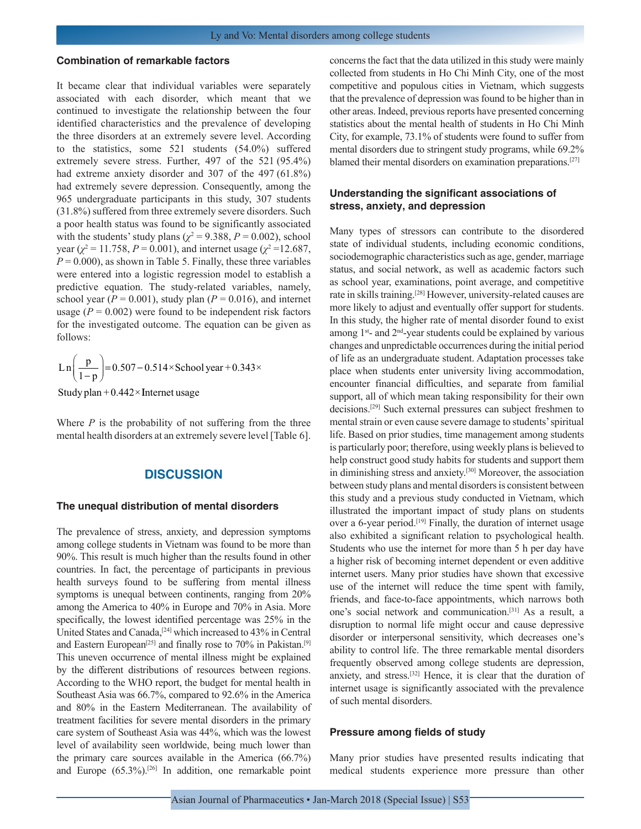#### **Combination of remarkable factors**

It became clear that individual variables were separately associated with each disorder, which meant that we continued to investigate the relationship between the four identified characteristics and the prevalence of developing the three disorders at an extremely severe level. According to the statistics, some 521 students (54.0%) suffered extremely severe stress. Further, 497 of the 521 (95.4%) had extreme anxiety disorder and 307 of the 497 (61.8%) had extremely severe depression. Consequently, among the 965 undergraduate participants in this study, 307 students (31.8%) suffered from three extremely severe disorders. Such a poor health status was found to be significantly associated with the students' study plans ( $\chi^2$  = 9.388, *P* = 0.002), school year ( $\chi^2$  = 11.758, *P* = 0.001), and internet usage ( $\chi^2$  = 12.687,  $P = 0.000$ , as shown in Table 5. Finally, these three variables were entered into a logistic regression model to establish a predictive equation. The study-related variables, namely, school year ( $P = 0.001$ ), study plan ( $P = 0.016$ ), and internet usage  $(P = 0.002)$  were found to be independent risk factors for the investigated outcome. The equation can be given as follows:

$$
\ln\left(\frac{p}{1-p}\right) = 0.507 - 0.514 \times \text{ School year} + 0.343 \times
$$

Study plan +0.442× Internet usage

Where *P* is the probability of not suffering from the three mental health disorders at an extremely severe level [Table 6].

## **DISCUSSION**

#### **The unequal distribution of mental disorders**

The prevalence of stress, anxiety, and depression symptoms among college students in Vietnam was found to be more than 90%. This result is much higher than the results found in other countries. In fact, the percentage of participants in previous health surveys found to be suffering from mental illness symptoms is unequal between continents, ranging from 20% among the America to 40% in Europe and 70% in Asia. More specifically, the lowest identified percentage was 25% in the United States and Canada,[24] which increased to 43% in Central and Eastern European<sup>[25]</sup> and finally rose to 70% in Pakistan.<sup>[9]</sup> This uneven occurrence of mental illness might be explained by the different distributions of resources between regions. According to the WHO report, the budget for mental health in Southeast Asia was 66.7%, compared to 92.6% in the America and 80% in the Eastern Mediterranean. The availability of treatment facilities for severe mental disorders in the primary care system of Southeast Asia was 44%, which was the lowest level of availability seen worldwide, being much lower than the primary care sources available in the America (66.7%) and Europe (65.3%).[26] In addition, one remarkable point concerns the fact that the data utilized in this study were mainly collected from students in Ho Chi Minh City, one of the most competitive and populous cities in Vietnam, which suggests that the prevalence of depression was found to be higher than in other areas. Indeed, previous reports have presented concerning statistics about the mental health of students in Ho Chi Minh City, for example, 73.1% of students were found to suffer from mental disorders due to stringent study programs, while 69.2% blamed their mental disorders on examination preparations.<sup>[27]</sup>

### **Understanding the significant associations of stress, anxiety, and depression**

Many types of stressors can contribute to the disordered state of individual students, including economic conditions, sociodemographic characteristics such as age, gender, marriage status, and social network, as well as academic factors such as school year, examinations, point average, and competitive rate in skills training.[28] However, university-related causes are more likely to adjust and eventually offer support for students. In this study, the higher rate of mental disorder found to exist among  $1^{st}$ - and  $2^{nd}$ -year students could be explained by various changes and unpredictable occurrences during the initial period of life as an undergraduate student. Adaptation processes take place when students enter university living accommodation, encounter financial difficulties, and separate from familial support, all of which mean taking responsibility for their own decisions.[29] Such external pressures can subject freshmen to mental strain or even cause severe damage to students' spiritual life. Based on prior studies, time management among students is particularly poor; therefore, using weekly plans is believed to help construct good study habits for students and support them in diminishing stress and anxiety.[30] Moreover, the association between study plans and mental disorders is consistent between this study and a previous study conducted in Vietnam, which illustrated the important impact of study plans on students over a 6-year period.<sup>[19]</sup> Finally, the duration of internet usage also exhibited a significant relation to psychological health. Students who use the internet for more than 5 h per day have a higher risk of becoming internet dependent or even additive internet users. Many prior studies have shown that excessive use of the internet will reduce the time spent with family, friends, and face-to-face appointments, which narrows both one's social network and communication.[31] As a result, a disruption to normal life might occur and cause depressive disorder or interpersonal sensitivity, which decreases one's ability to control life. The three remarkable mental disorders frequently observed among college students are depression, anxiety, and stress.[32] Hence, it is clear that the duration of internet usage is significantly associated with the prevalence of such mental disorders.

#### **Pressure among fields of study**

Many prior studies have presented results indicating that medical students experience more pressure than other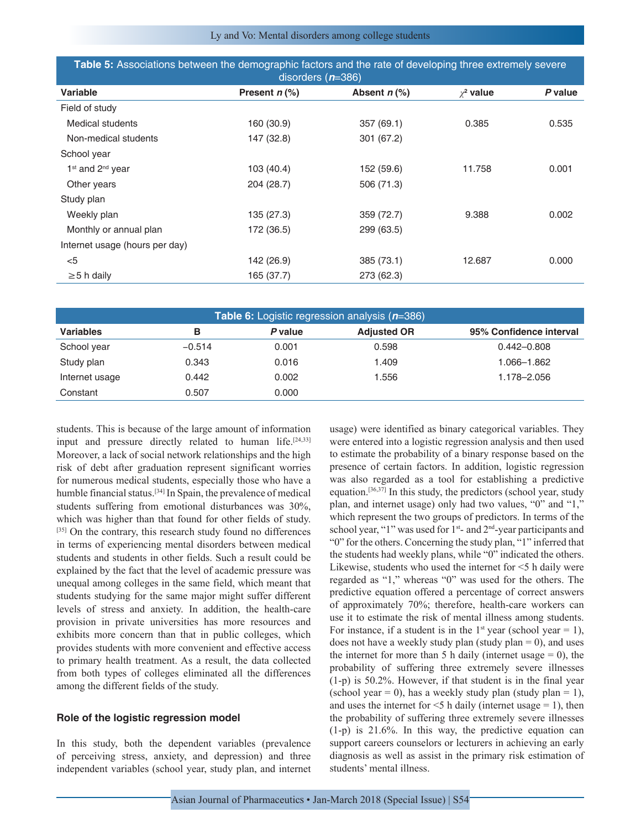Ly and Vo: Mental disorders among college students

| Table 5: Associations between the demographic factors and the rate of developing three extremely severe<br>disorders $(n=386)$ |                 |                  |                |         |  |  |
|--------------------------------------------------------------------------------------------------------------------------------|-----------------|------------------|----------------|---------|--|--|
| Variable                                                                                                                       | Present $n$ (%) | Absent $n$ $%$ ) | $\chi^2$ value | P value |  |  |
| Field of study                                                                                                                 |                 |                  |                |         |  |  |
| Medical students                                                                                                               | 160 (30.9)      | 357 (69.1)       | 0.385          | 0.535   |  |  |
| Non-medical students                                                                                                           | 147 (32.8)      | 301 (67.2)       |                |         |  |  |
| School year                                                                                                                    |                 |                  |                |         |  |  |
| $1st$ and $2nd$ year                                                                                                           | 103 (40.4)      | 152 (59.6)       | 11.758         | 0.001   |  |  |
| Other years                                                                                                                    | 204 (28.7)      | 506 (71.3)       |                |         |  |  |
| Study plan                                                                                                                     |                 |                  |                |         |  |  |
| Weekly plan                                                                                                                    | 135 (27.3)      | 359 (72.7)       | 9.388          | 0.002   |  |  |
| Monthly or annual plan                                                                                                         | 172 (36.5)      | 299 (63.5)       |                |         |  |  |
| Internet usage (hours per day)                                                                                                 |                 |                  |                |         |  |  |
| $<$ 5                                                                                                                          | 142 (26.9)      | 385 (73.1)       | 12.687         | 0.000   |  |  |
| $\geq$ 5 h daily                                                                                                               | 165 (37.7)      | 273 (62.3)       |                |         |  |  |

| <b>Table 6:</b> Logistic regression analysis $(n=386)$ |          |         |                    |                         |  |  |  |
|--------------------------------------------------------|----------|---------|--------------------|-------------------------|--|--|--|
| <b>Variables</b>                                       | в        | P value | <b>Adjusted OR</b> | 95% Confidence interval |  |  |  |
| School year                                            | $-0.514$ | 0.001   | 0.598              | $0.442 - 0.808$         |  |  |  |
| Study plan                                             | 0.343    | 0.016   | 1.409              | 1.066–1.862             |  |  |  |
| Internet usage                                         | 0.442    | 0.002   | 1.556              | 1.178-2.056             |  |  |  |
| Constant                                               | 0.507    | 0.000   |                    |                         |  |  |  |

students. This is because of the large amount of information input and pressure directly related to human life.<sup>[24,33]</sup> Moreover, a lack of social network relationships and the high risk of debt after graduation represent significant worries for numerous medical students, especially those who have a humble financial status.[34] In Spain, the prevalence of medical students suffering from emotional disturbances was 30%, which was higher than that found for other fields of study. [35] On the contrary, this research study found no differences in terms of experiencing mental disorders between medical students and students in other fields. Such a result could be explained by the fact that the level of academic pressure was unequal among colleges in the same field, which meant that students studying for the same major might suffer different levels of stress and anxiety. In addition, the health-care provision in private universities has more resources and exhibits more concern than that in public colleges, which provides students with more convenient and effective access to primary health treatment. As a result, the data collected from both types of colleges eliminated all the differences among the different fields of the study.

#### **Role of the logistic regression model**

In this study, both the dependent variables (prevalence of perceiving stress, anxiety, and depression) and three independent variables (school year, study plan, and internet usage) were identified as binary categorical variables. They were entered into a logistic regression analysis and then used to estimate the probability of a binary response based on the presence of certain factors. In addition, logistic regression was also regarded as a tool for establishing a predictive equation.<sup>[36,37]</sup> In this study, the predictors (school year, study plan, and internet usage) only had two values, "0" and "1," which represent the two groups of predictors. In terms of the school year, "1" was used for 1<sup>st</sup>- and 2<sup>nd</sup>-year participants and "0" for the others. Concerning the study plan, "1" inferred that the students had weekly plans, while "0" indicated the others. Likewise, students who used the internet for <5 h daily were regarded as "1," whereas "0" was used for the others. The predictive equation offered a percentage of correct answers of approximately 70%; therefore, health-care workers can use it to estimate the risk of mental illness among students. For instance, if a student is in the  $1<sup>st</sup>$  year (school year = 1), does not have a weekly study plan (study plan  $= 0$ ), and uses the internet for more than 5 h daily (internet usage  $= 0$ ), the probability of suffering three extremely severe illnesses (1-p) is 50.2%. However, if that student is in the final year (school year = 0), has a weekly study plan (study plan = 1), and uses the internet for  $\leq$  5 h daily (internet usage = 1), then the probability of suffering three extremely severe illnesses (1-p) is 21.6%. In this way, the predictive equation can support careers counselors or lecturers in achieving an early diagnosis as well as assist in the primary risk estimation of students' mental illness.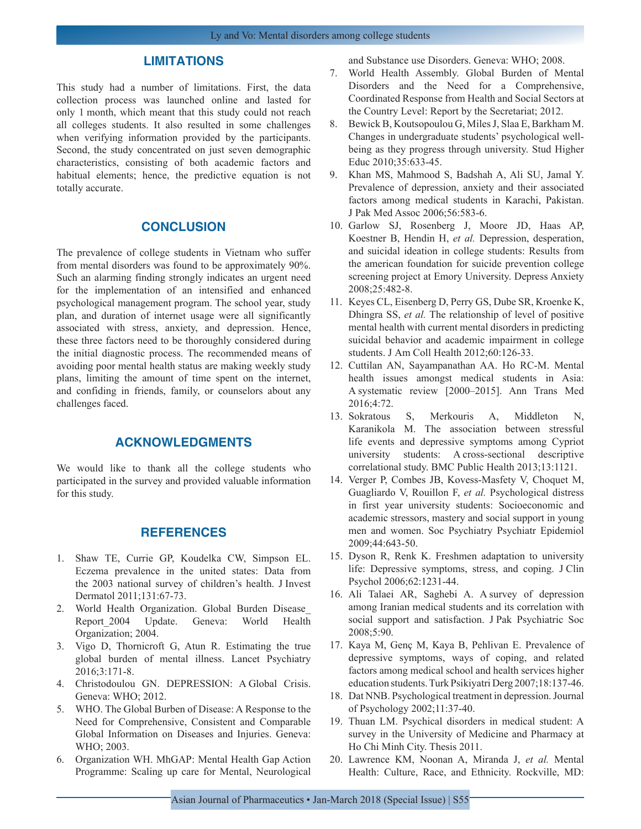## **LIMITATIONS**

This study had a number of limitations. First, the data collection process was launched online and lasted for only 1 month, which meant that this study could not reach all colleges students. It also resulted in some challenges when verifying information provided by the participants. Second, the study concentrated on just seven demographic characteristics, consisting of both academic factors and habitual elements; hence, the predictive equation is not totally accurate.

## **CONCLUSION**

The prevalence of college students in Vietnam who suffer from mental disorders was found to be approximately 90%. Such an alarming finding strongly indicates an urgent need for the implementation of an intensified and enhanced psychological management program. The school year, study plan, and duration of internet usage were all significantly associated with stress, anxiety, and depression. Hence, these three factors need to be thoroughly considered during the initial diagnostic process. The recommended means of avoiding poor mental health status are making weekly study plans, limiting the amount of time spent on the internet, and confiding in friends, family, or counselors about any challenges faced.

## **ACKNOWLEDGMENTS**

We would like to thank all the college students who participated in the survey and provided valuable information for this study.

## **REFERENCES**

- 1. Shaw TE, Currie GP, Koudelka CW, Simpson EL. Eczema prevalence in the united states: Data from the 2003 national survey of children's health. J Invest Dermatol 2011;131:67-73.
- 2. World Health Organization. Global Burden Disease\_ Report 2004 Update. Geneva: World Health Organization; 2004.
- 3. Vigo D, Thornicroft G, Atun R. Estimating the true global burden of mental illness. Lancet Psychiatry 2016;3:171-8.
- 4. Christodoulou GN. DEPRESSION: A Global Crisis. Geneva: WHO; 2012.
- 5. WHO. The Global Burben of Disease: A Response to the Need for Comprehensive, Consistent and Comparable Global Information on Diseases and Injuries. Geneva: WHO; 2003.
- 6. Organization WH. MhGAP: Mental Health Gap Action Programme: Scaling up care for Mental, Neurological

and Substance use Disorders. Geneva: WHO; 2008.

- 7. World Health Assembly. Global Burden of Mental Disorders and the Need for a Comprehensive, Coordinated Response from Health and Social Sectors at the Country Level: Report by the Secretariat; 2012.
- 8. Bewick B, Koutsopoulou G, Miles J, Slaa E, Barkham M. Changes in undergraduate students' psychological wellbeing as they progress through university. Stud Higher Educ 2010;35:633-45.
- 9. Khan MS, Mahmood S, Badshah A, Ali SU, Jamal Y. Prevalence of depression, anxiety and their associated factors among medical students in Karachi, Pakistan. J Pak Med Assoc 2006;56:583-6.
- 10. Garlow SJ, Rosenberg J, Moore JD, Haas AP, Koestner B, Hendin H, *et al.* Depression, desperation, and suicidal ideation in college students: Results from the american foundation for suicide prevention college screening project at Emory University. Depress Anxiety 2008;25:482-8.
- 11. Keyes CL, Eisenberg D, Perry GS, Dube SR, Kroenke K, Dhingra SS, *et al.* The relationship of level of positive mental health with current mental disorders in predicting suicidal behavior and academic impairment in college students. J Am Coll Health 2012;60:126-33.
- 12. Cuttilan AN, Sayampanathan AA. Ho RC-M. Mental health issues amongst medical students in Asia: A systematic review [2000–2015]. Ann Trans Med 2016;4:72.
- 13. Sokratous S, Merkouris A, Middleton N, Karanikola M. The association between stressful life events and depressive symptoms among Cypriot university students: A cross-sectional descriptive correlational study. BMC Public Health 2013;13:1121.
- 14. Verger P, Combes JB, Kovess-Masfety V, Choquet M, Guagliardo V, Rouillon F, *et al.* Psychological distress in first year university students: Socioeconomic and academic stressors, mastery and social support in young men and women. Soc Psychiatry Psychiatr Epidemiol 2009;44:643-50.
- 15. Dyson R, Renk K. Freshmen adaptation to university life: Depressive symptoms, stress, and coping. J Clin Psychol 2006;62:1231-44.
- 16. Ali Talaei AR, Saghebi A. A survey of depression among Iranian medical students and its correlation with social support and satisfaction. J Pak Psychiatric Soc 2008;5:90.
- 17. Kaya M, Genç M, Kaya B, Pehlivan E. Prevalence of depressive symptoms, ways of coping, and related factors among medical school and health services higher education students. Turk Psikiyatri Derg 2007;18:137-46.
- 18. Dat NNB. Psychological treatment in depression. Journal of Psychology 2002;11:37-40.
- 19. Thuan LM. Psychical disorders in medical student: A survey in the University of Medicine and Pharmacy at Ho Chi Minh City. Thesis 2011.
- 20. Lawrence KM, Noonan A, Miranda J, *et al.* Mental Health: Culture, Race, and Ethnicity. Rockville, MD: